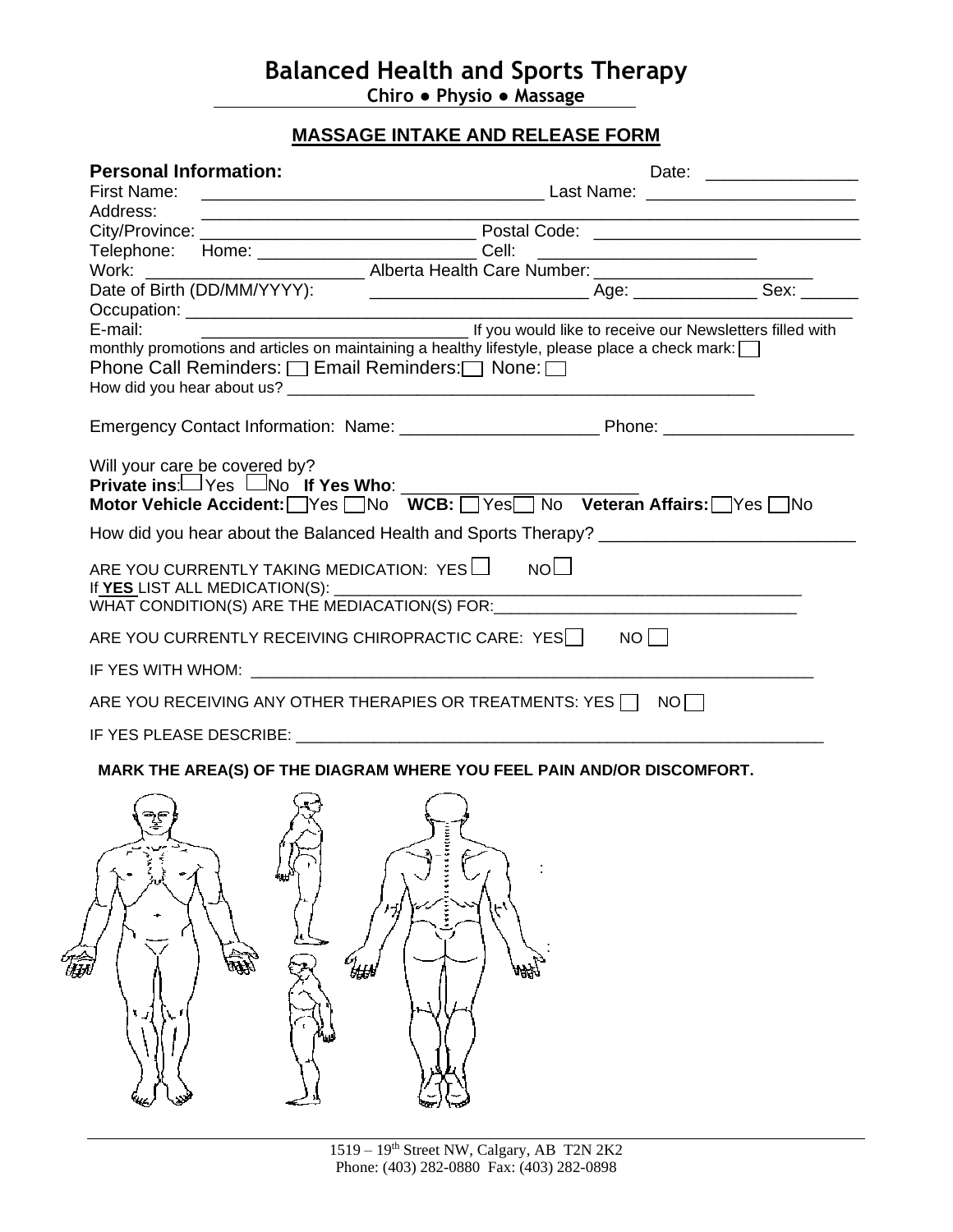# **Balanced Health and Sports Therapy**

**Chiro ● Physio ● Massage**

## **MASSAGE INTAKE AND RELEASE FORM**

| First Name:                                                                                                     |  |  |
|-----------------------------------------------------------------------------------------------------------------|--|--|
|                                                                                                                 |  |  |
| Address:                                                                                                        |  |  |
|                                                                                                                 |  |  |
| Telephone: Home: _____________________________Cell:                                                             |  |  |
|                                                                                                                 |  |  |
|                                                                                                                 |  |  |
|                                                                                                                 |  |  |
| Let you would like to receive our Newsletters filled with<br>E-mail:                                            |  |  |
| monthly promotions and articles on maintaining a healthy lifestyle, please place a check mark:                  |  |  |
| Phone Call Reminders: □ Email Reminders: □ None: □                                                              |  |  |
|                                                                                                                 |  |  |
|                                                                                                                 |  |  |
|                                                                                                                 |  |  |
| Will your care be covered by?<br>Private ins: Yes Mo If Yes Who: _____________                                  |  |  |
| Motor Vehicle Accident: Ves III No WCB: Ves No Veteran Affairs: Ves No                                          |  |  |
|                                                                                                                 |  |  |
|                                                                                                                 |  |  |
| ARE YOU CURRENTLY TAKING MEDICATION: $\text{Yes} \Box \quad \text{NO} \Box$                                     |  |  |
| If YES_LIST ALL MEDICATION(S):                                                                                  |  |  |
| WHAT CONDITION(S) ARE THE MEDIACATION(S) FOR: WHAT CONDITION(S)                                                 |  |  |
|                                                                                                                 |  |  |
| ARE YOU CURRENTLY RECEIVING CHIROPRACTIC CARE: YES $\Box$ NO $\Box$                                             |  |  |
|                                                                                                                 |  |  |
| ARE YOU RECEIVING ANY OTHER THERAPIES OR TREATMENTS: YES     NO                                                 |  |  |
|                                                                                                                 |  |  |
| IF YES PLEASE DESCRIBE: WE ARE A SERIES ON A SERIES OF A SERIES OF A SERIES OF A SERIES OF A SERIES OF A SERIES |  |  |
| MARK THE AREA(S) OF THE DIAGRAM WHERE YOU FEEL PAIN AND/OR DISCOMFORT.                                          |  |  |

 : : 编 **THEN** 礆